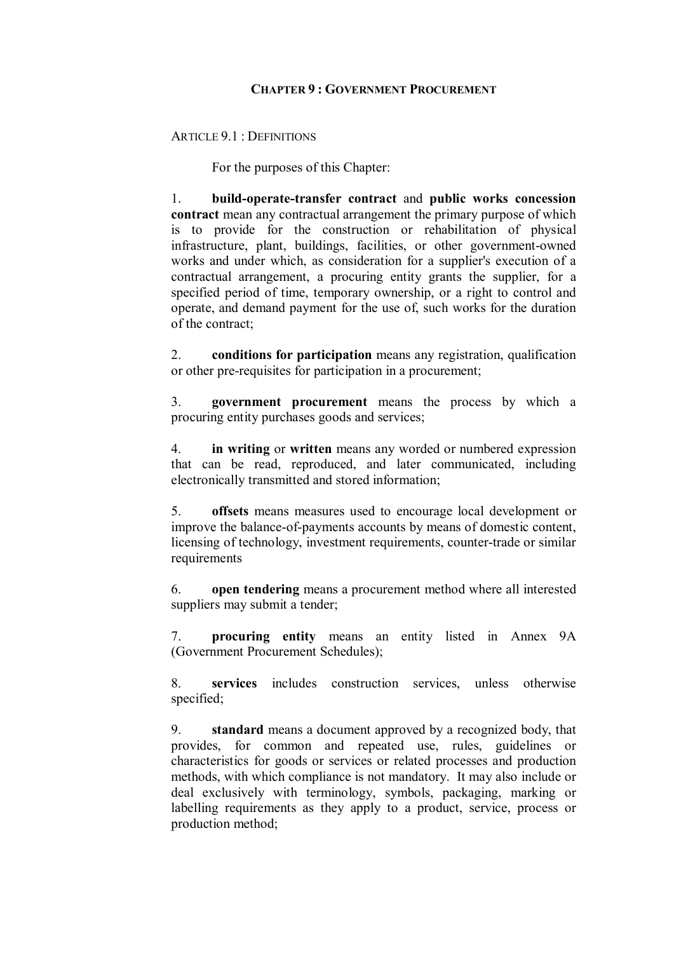## **CHAPTER 9 :GOVERNMENT PROCUREMENT**

ARTICLE 9.1 : DEFINITIONS

For the purposes of this Chapter:

1. **build-operate-transfer contract** and **public works concession contract** mean any contractual arrangement the primary purpose of which is to provide for the construction or rehabilitation of physical infrastructure, plant, buildings, facilities, or other government-owned works and under which, as consideration for a supplier's execution of a contractual arrangement, a procuring entity grants the supplier, for a specified period of time, temporary ownership, or a right to control and operate, and demand payment for the use of, such works for the duration of the contract;

2. **conditions for participation** means any registration, qualification or other pre-requisites for participation in a procurement;

3. **government procurement** means the process by which a procuring entity purchases goods and services;

4. **in writing** or **written** means any worded or numbered expression that can be read, reproduced, and later communicated, including electronically transmitted and stored information;

5. **offsets** means measures used to encourage local development or improve the balance-of-payments accounts by means of domestic content, licensing of technology, investment requirements, counter-trade or similar requirements

6. **open tendering** means a procurement method where all interested suppliers may submit a tender;

7. **procuring entity** means an entity listed in Annex 9A (Government Procurement Schedules);

8. **services** includes construction services, unless otherwise specified;

9. **standard** means a document approved by a recognized body, that provides, for common and repeated use, rules, guidelines or characteristics for goods or services or related processes and production methods, with which compliance is not mandatory. It may also include or deal exclusively with terminology, symbols, packaging, marking or labelling requirements as they apply to a product, service, process or production method;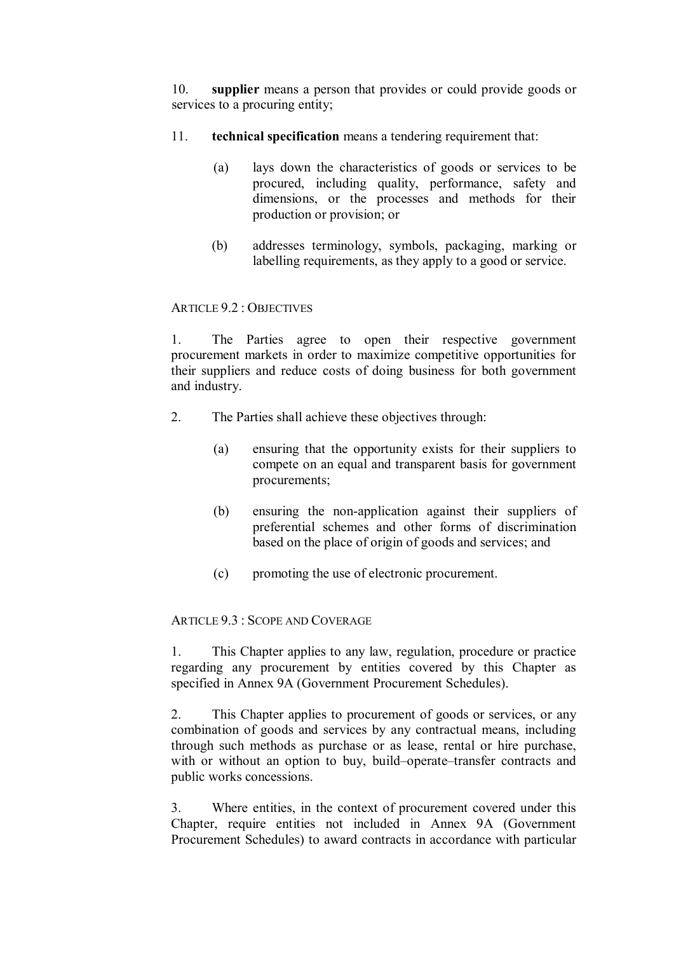10. **supplier** means a person that provides or could provide goods or services to a procuring entity;

- 11. **technical specification** means a tendering requirement that:
	- (a) lays down the characteristics of goods or services to be procured, including quality, performance, safety and dimensions, or the processes and methods for their production or provision; or
	- (b) addresses terminology, symbols, packaging, marking or labelling requirements, as they apply to a good or service.

## ARTICLE 9.2 : OBJECTIVES

1. The Parties agree to open their respective government procurement markets in order to maximize competitive opportunities for their suppliers and reduce costs of doing business for both government and industry.

- 2. The Parties shall achieve these objectives through:
	- (a) ensuring that the opportunity exists for their suppliers to compete on an equal and transparent basis for government procurements;
	- (b) ensuring the non-application against their suppliers of preferential schemes and other forms of discrimination based on the place of origin of goods and services; and
	- (c) promoting the use of electronic procurement.

## ARTICLE 9.3 : SCOPE AND COVERAGE

1. This Chapter applies to any law, regulation, procedure or practice regarding any procurement by entities covered by this Chapter as specified in Annex 9A (Government Procurement Schedules).

2. This Chapter applies to procurement of goods or services, or any combination of goods and services by any contractual means, including through such methods as purchase or as lease, rental or hire purchase, with or without an option to buy, build–operate–transfer contracts and public works concessions.

3. Where entities, in the context of procurement covered under this Chapter, require entities not included in Annex 9A (Government Procurement Schedules) to award contracts in accordance with particular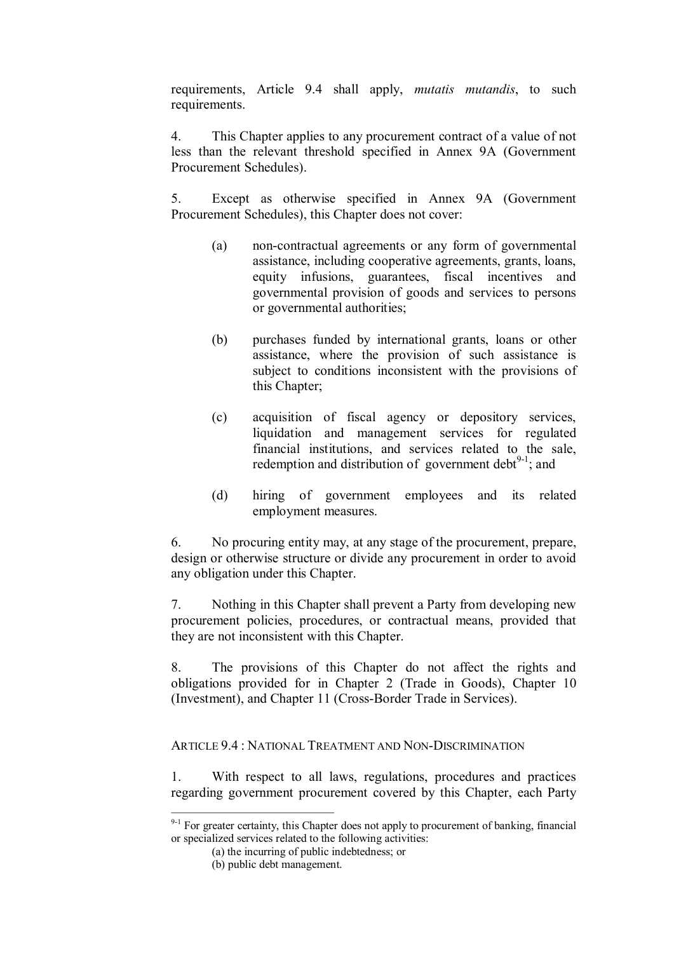requirements, Article 9.4 shall apply, *mutatis mutandis*, to such requirements.

4. This Chapter applies to any procurement contract of a value of not less than the relevant threshold specified in Annex 9A (Government Procurement Schedules).

5. Except as otherwise specified in Annex 9A (Government Procurement Schedules), this Chapter does not cover:

- (a) non-contractual agreements or any form of governmental assistance, including cooperative agreements, grants, loans, equity infusions, guarantees, fiscal incentives and governmental provision of goods and services to persons or governmental authorities;
- (b) purchases funded by international grants, loans or other assistance, where the provision of such assistance is subject to conditions inconsistent with the provisions of this Chapter;
- (c) acquisition of fiscal agency or depository services, liquidation and management services for regulated financial institutions, and services related to the sale, redemption and distribution of government debt $^{9-1}$ ; and
- (d) hiring of government employees and its related employment measures.

6. No procuring entity may, at any stage of the procurement, prepare, design or otherwise structure or divide any procurement in order to avoid any obligation under this Chapter.

7. Nothing in this Chapter shall prevent a Party from developing new procurement policies, procedures, or contractual means, provided that they are not inconsistent with this Chapter.

8. The provisions of this Chapter do not affect the rights and obligations provided for in Chapter 2 (Trade in Goods), Chapter 10 (Investment), and Chapter 11 (Cross-Border Trade in Services).

ARTICLE 9.4 : NATIONAL TREATMENT AND NON-DISCRIMINATION

1. With respect to all laws, regulations, procedures and practices regarding government procurement covered by this Chapter, each Party

 $9-1$  For greater certainty, this Chapter does not apply to procurement of banking, financial or specialized services related to the following activities:

<sup>(</sup>a) the incurring of public indebtedness; or

<sup>(</sup>b) public debt management.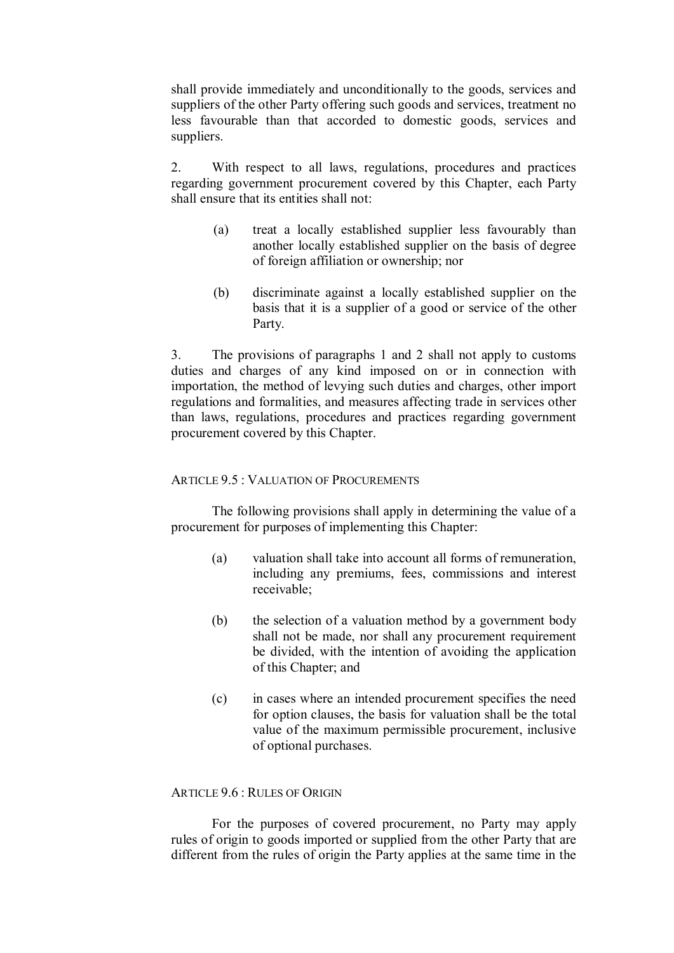shall provide immediately and unconditionally to the goods, services and suppliers of the other Party offering such goods and services, treatment no less favourable than that accorded to domestic goods, services and suppliers.

2. With respect to all laws, regulations, procedures and practices regarding government procurement covered by this Chapter, each Party shall ensure that its entities shall not:

- (a) treat a locally established supplier less favourably than another locally established supplier on the basis of degree of foreign affiliation or ownership; nor
- (b) discriminate against a locally established supplier on the basis that it is a supplier of a good or service of the other Party.

3. The provisions of paragraphs 1 and 2 shall not apply to customs duties and charges of any kind imposed on or in connection with importation, the method of levying such duties and charges, other import regulations and formalities, and measures affecting trade in services other than laws, regulations, procedures and practices regarding government procurement covered by this Chapter.

## ARTICLE 9.5 · VALUATION OF PROCUREMENTS

The following provisions shall apply in determining the value of a procurement for purposes of implementing this Chapter:

- (a) valuation shall take into account all forms of remuneration, including any premiums, fees, commissions and interest receivable;
- (b) the selection of a valuation method by a government body shall not be made, nor shall any procurement requirement be divided, with the intention of avoiding the application of this Chapter; and
- (c) in cases where an intended procurement specifies the need for option clauses, the basis for valuation shall be the total value of the maximum permissible procurement, inclusive of optional purchases.

## ARTICLE 9.6 : RULES OF ORIGIN

For the purposes of covered procurement, no Party may apply rules of origin to goods imported or supplied from the other Party that are different from the rules of origin the Party applies at the same time in the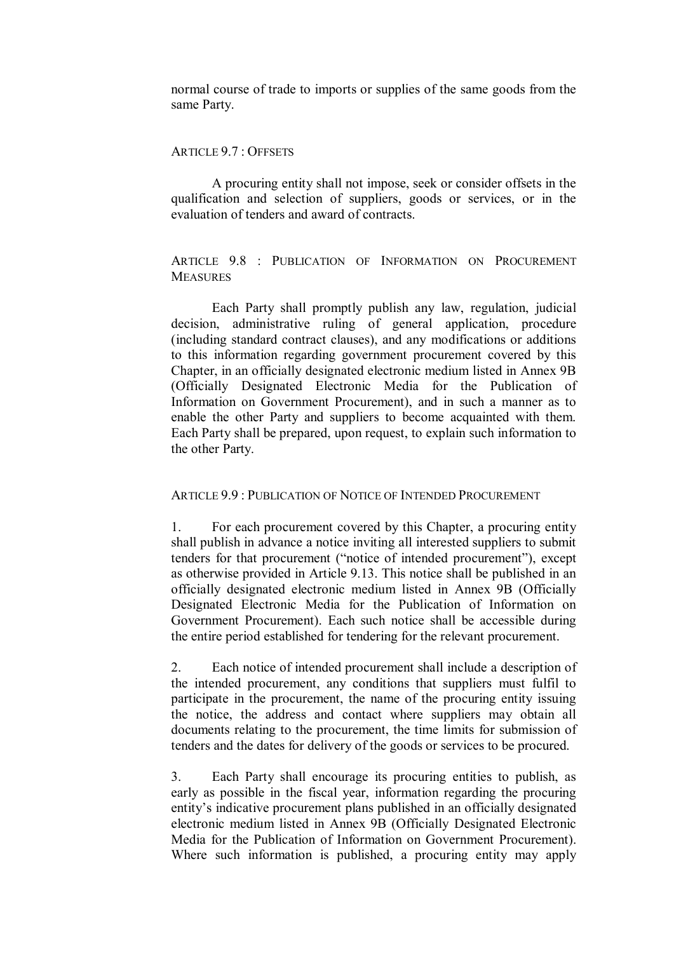normal course of trade to imports or supplies of the same goods from the same Party.

### ARTICLE 9.7 : OFFSETS

A procuring entity shall not impose, seek or consider offsets in the qualification and selection of suppliers, goods or services, or in the evaluation of tenders and award of contracts.

## ARTICLE 9.8 : PUBLICATION OF INFORMATION ON PROCUREMENT **MEASURES**

Each Party shall promptly publish any law, regulation, judicial decision, administrative ruling of general application, procedure (including standard contract clauses), and any modifications or additions to this information regarding government procurement covered by this Chapter, in an officially designated electronic medium listed in Annex 9B (Officially Designated Electronic Media for the Publication of Information on Government Procurement), and in such a manner as to enable the other Party and suppliers to become acquainted with them. Each Party shall be prepared, upon request, to explain such information to the other Party.

## ARTICLE 9.9 : PUBLICATION OF NOTICE OF INTENDED PROCUREMENT

1. For each procurement covered by this Chapter, a procuring entity shall publish in advance a notice inviting all interested suppliers to submit tenders for that procurement ("notice of intended procurement"), except as otherwise provided in Article 9.13. This notice shall be published in an officially designated electronic medium listed in Annex 9B (Officially Designated Electronic Media for the Publication of Information on Government Procurement). Each such notice shall be accessible during the entire period established for tendering for the relevant procurement.

2. Each notice of intended procurement shall include a description of the intended procurement, any conditions that suppliers must fulfil to participate in the procurement, the name of the procuring entity issuing the notice, the address and contact where suppliers may obtain all documents relating to the procurement, the time limits for submission of tenders and the dates for delivery of the goods or services to be procured.

3. Each Party shall encourage its procuring entities to publish, as early as possible in the fiscal year, information regarding the procuring entity's indicative procurement plans published in an officially designated electronic medium listed in Annex 9B (Officially Designated Electronic Media for the Publication of Information on Government Procurement). Where such information is published, a procuring entity may apply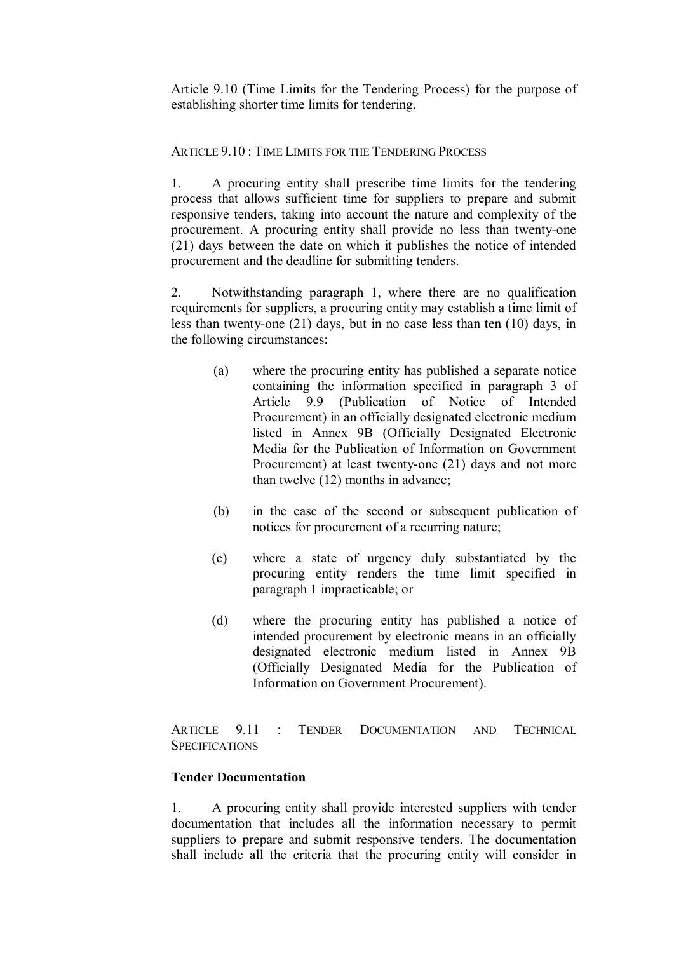Article 9.10 (Time Limits for the Tendering Process) for the purpose of establishing shorter time limits for tendering.

# ARTICLE 9.10 : TIME LIMITS FOR THE TENDERING PROCESS

1. A procuring entity shall prescribe time limits for the tendering process that allows sufficient time for suppliers to prepare and submit responsive tenders, taking into account the nature and complexity of the procurement. A procuring entity shall provide no less than twenty-one (21) days between the date on which it publishes the notice of intended procurement and the deadline for submitting tenders.

2. Notwithstanding paragraph 1, where there are no qualification requirements for suppliers, a procuring entity may establish a time limit of less than twenty-one (21) days, but in no case less than ten (10) days, in the following circumstances:

- (a) where the procuring entity has published a separate notice containing the information specified in paragraph 3 of Article 9.9 (Publication of Notice of Intended Procurement) in an officially designated electronic medium listed in Annex 9B (Officially Designated Electronic Media for the Publication of Information on Government Procurement) at least twenty-one (21) days and not more than twelve (12) months in advance;
- (b) in the case of the second or subsequent publication of notices for procurement of a recurring nature;
- (c) where a state of urgency duly substantiated by the procuring entity renders the time limit specified in paragraph 1 impracticable; or
- (d) where the procuring entity has published a notice of intended procurement by electronic means in an officially designated electronic medium listed in Annex 9B (Officially Designated Media for the Publication of Information on Government Procurement).

ARTICLE 9.11 : TENDER DOCUMENTATION AND TECHNICAL **SPECIFICATIONS** 

## **Tender Documentation**

1. A procuring entity shall provide interested suppliers with tender documentation that includes all the information necessary to permit suppliers to prepare and submit responsive tenders. The documentation shall include all the criteria that the procuring entity will consider in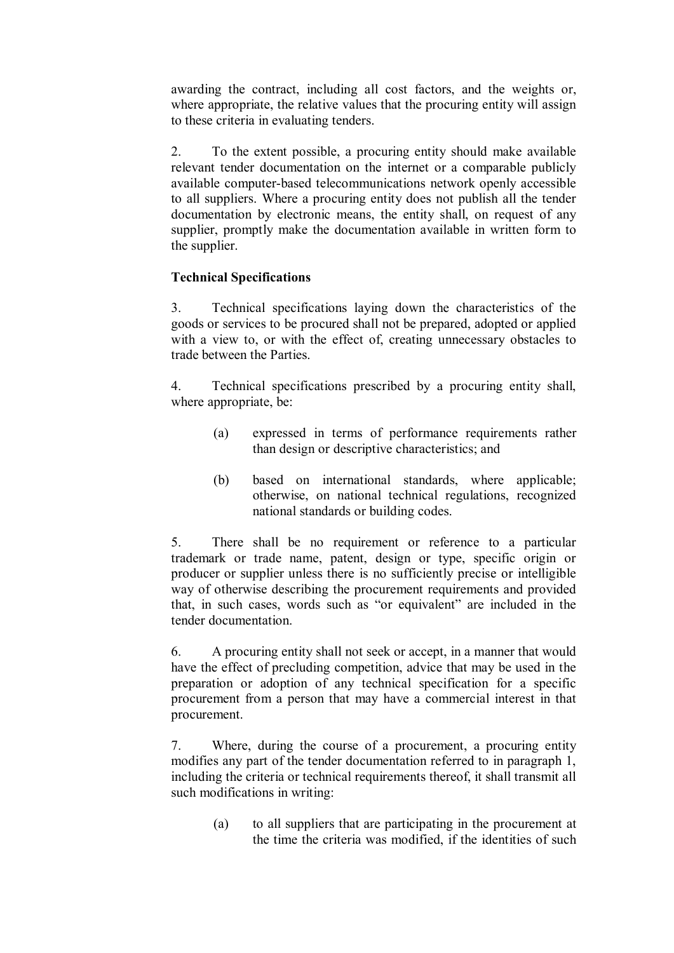awarding the contract, including all cost factors, and the weights or, where appropriate, the relative values that the procuring entity will assign to these criteria in evaluating tenders.

2. To the extent possible, a procuring entity should make available relevant tender documentation on the internet or a comparable publicly available computer-based telecommunications network openly accessible to all suppliers. Where a procuring entity does not publish all the tender documentation by electronic means, the entity shall, on request of any supplier, promptly make the documentation available in written form to the supplier.

# **Technical Specifications**

3. Technical specifications laying down the characteristics of the goods or services to be procured shall not be prepared, adopted or applied with a view to, or with the effect of, creating unnecessary obstacles to trade between the Parties.

4. Technical specifications prescribed by a procuring entity shall, where appropriate, be:

- (a) expressed in terms of performance requirements rather than design or descriptive characteristics; and
- (b) based on international standards, where applicable; otherwise, on national technical regulations, recognized national standards or building codes.

5. There shall be no requirement or reference to a particular trademark or trade name, patent, design or type, specific origin or producer or supplier unless there is no sufficiently precise or intelligible way of otherwise describing the procurement requirements and provided that, in such cases, words such as "or equivalent" are included in the tender documentation.

6. A procuring entity shall not seek or accept, in a manner that would have the effect of precluding competition, advice that may be used in the preparation or adoption of any technical specification for a specific procurement from a person that may have a commercial interest in that procurement.

7. Where, during the course of a procurement, a procuring entity modifies any part of the tender documentation referred to in paragraph 1, including the criteria or technical requirements thereof, it shall transmit all such modifications in writing:

> (a) to all suppliers that are participating in the procurement at the time the criteria was modified, if the identities of such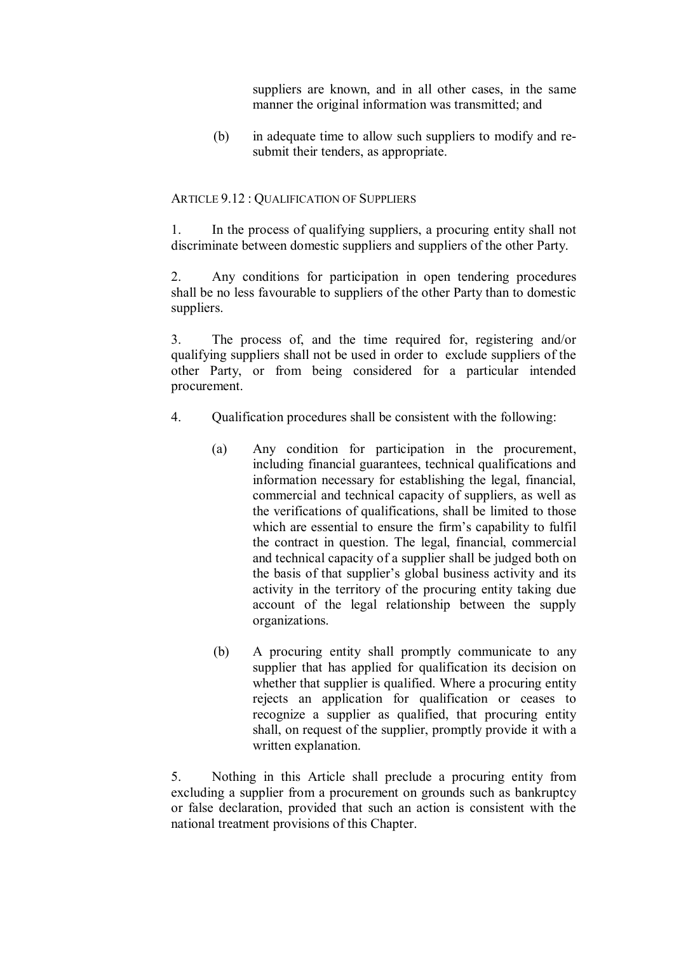suppliers are known, and in all other cases, in the same manner the original information was transmitted; and

(b) in adequate time to allow such suppliers to modify and re submit their tenders, as appropriate.

# ARTICLE 9.12 : QUALIFICATION OF SUPPLIERS

1. In the process of qualifying suppliers, a procuring entity shall not discriminate between domestic suppliers and suppliers of the other Party.

2. Any conditions for participation in open tendering procedures shall be no less favourable to suppliers of the other Party than to domestic suppliers.

3. The process of, and the time required for, registering and/or qualifying suppliers shall not be used in order to exclude suppliers of the other Party, or from being considered for a particular intended procurement.

- 4. Qualification procedures shall be consistent with the following:
	- (a) Any condition for participation in the procurement, including financial guarantees, technical qualifications and information necessary for establishing the legal, financial, commercial and technical capacity of suppliers, as well as the verifications of qualifications, shall be limited to those which are essential to ensure the firm's capability to fulfil the contract in question. The legal, financial, commercial and technical capacity of a supplier shall be judged both on the basis of that supplier's global business activity and its activity in the territory of the procuring entity taking due account of the legal relationship between the supply organizations.
	- (b) A procuring entity shall promptly communicate to any supplier that has applied for qualification its decision on whether that supplier is qualified. Where a procuring entity rejects an application for qualification or ceases to recognize a supplier as qualified, that procuring entity shall, on request of the supplier, promptly provide it with a written explanation.

5. Nothing in this Article shall preclude a procuring entity from excluding a supplier from a procurement on grounds such as bankruptcy or false declaration, provided that such an action is consistent with the national treatment provisions of this Chapter.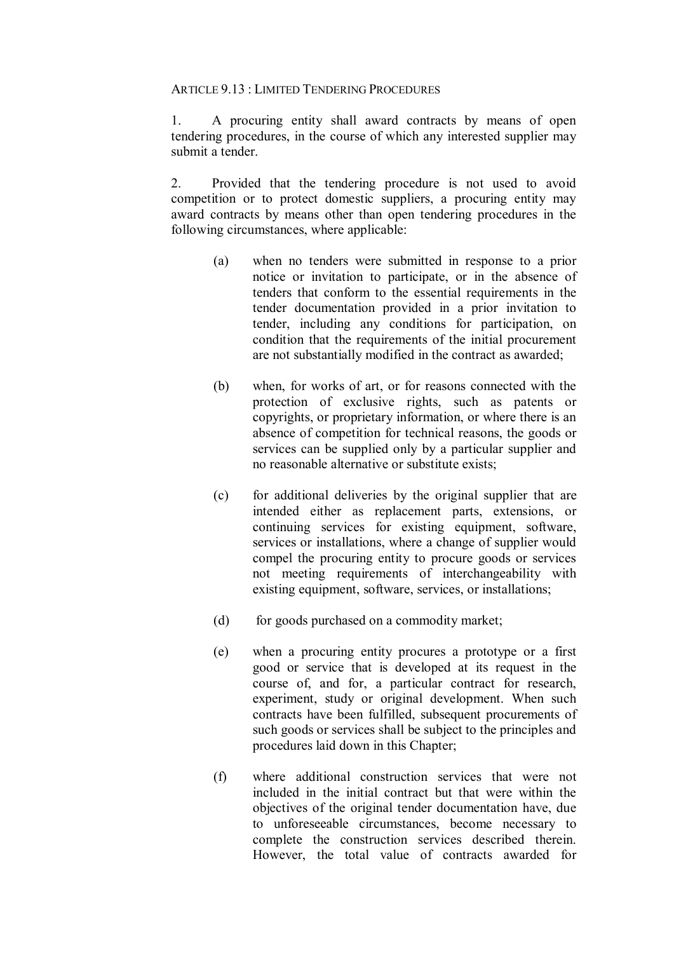### ARTICLE 9.13 : LIMITED TENDERING PROCEDURES

1. A procuring entity shall award contracts by means of open tendering procedures, in the course of which any interested supplier may submit a tender.

2. Provided that the tendering procedure is not used to avoid competition or to protect domestic suppliers, a procuring entity may award contracts by means other than open tendering procedures in the following circumstances, where applicable:

- (a) when no tenders were submitted in response to a prior notice or invitation to participate, or in the absence of tenders that conform to the essential requirements in the tender documentation provided in a prior invitation to tender, including any conditions for participation, on condition that the requirements of the initial procurement are not substantially modified in the contract as awarded;
- (b) when, for works of art, or for reasons connected with the protection of exclusive rights, such as patents or copyrights, or proprietary information, or where there is an absence of competition for technical reasons, the goods or services can be supplied only by a particular supplier and no reasonable alternative or substitute exists;
- (c) for additional deliveries by the original supplier that are intended either as replacement parts, extensions, or continuing services for existing equipment, software, services or installations, where a change of supplier would compel the procuring entity to procure goods or services not meeting requirements of interchangeability with existing equipment, software, services, or installations;
- (d) for goods purchased on a commodity market;
- (e) when a procuring entity procures a prototype or a first good or service that is developed at its request in the course of, and for, a particular contract for research, experiment, study or original development. When such contracts have been fulfilled, subsequent procurements of such goods or services shall be subject to the principles and procedures laid down in this Chapter;
- (f) where additional construction services that were not included in the initial contract but that were within the objectives of the original tender documentation have, due to unforeseeable circumstances, become necessary to complete the construction services described therein. However, the total value of contracts awarded for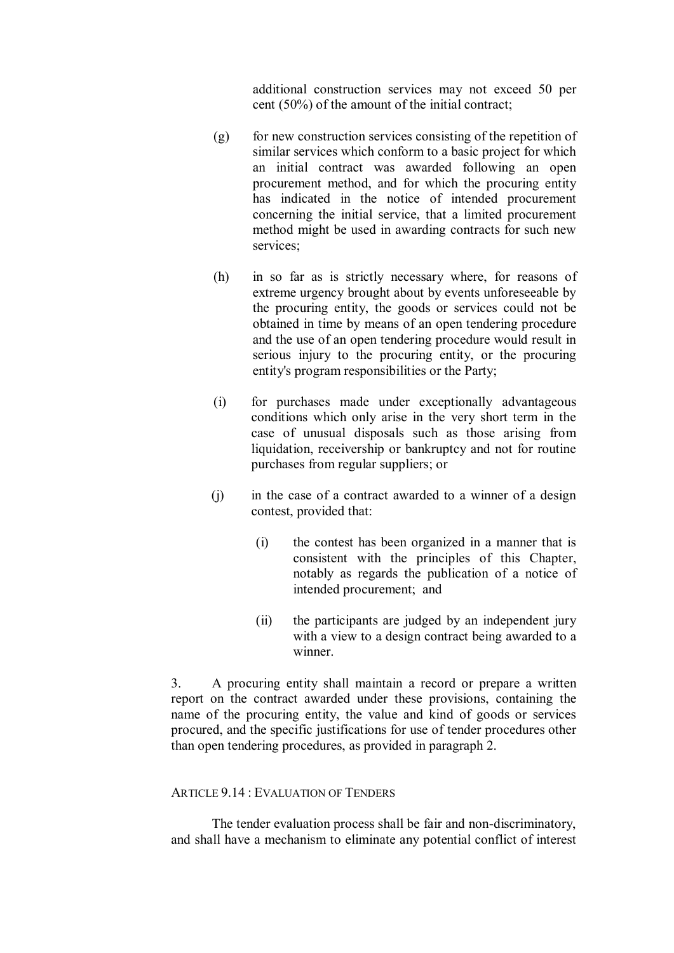additional construction services may not exceed 50 per cent (50%) of the amount of the initial contract;

- (g) for new construction services consisting of the repetition of similar services which conform to a basic project for which an initial contract was awarded following an open procurement method, and for which the procuring entity has indicated in the notice of intended procurement concerning the initial service, that a limited procurement method might be used in awarding contracts for such new services;
- (h) in so far as is strictly necessary where, for reasons of extreme urgency brought about by events unforeseeable by the procuring entity, the goods or services could not be obtained in time by means of an open tendering procedure and the use of an open tendering procedure would result in serious injury to the procuring entity, or the procuring entity's program responsibilities or the Party;
- (i) for purchases made under exceptionally advantageous conditions which only arise in the very short term in the case of unusual disposals such as those arising from liquidation, receivership or bankruptcy and not for routine purchases from regular suppliers; or
- (j) in the case of a contract awarded to a winner of a design contest, provided that:
	- (i) the contest has been organized in a manner that is consistent with the principles of this Chapter, notably as regards the publication of a notice of intended procurement; and
	- (ii) the participants are judged by an independent jury with a view to a design contract being awarded to a winner.

3. A procuring entity shall maintain a record or prepare a written report on the contract awarded under these provisions, containing the name of the procuring entity, the value and kind of goods or services procured, and the specific justifications for use of tender procedures other than open tendering procedures, as provided in paragraph 2.

# ARTICLE 9.14 : EVALUATION OF TENDERS

The tender evaluation process shall be fair and non-discriminatory, and shall have a mechanism to eliminate any potential conflict of interest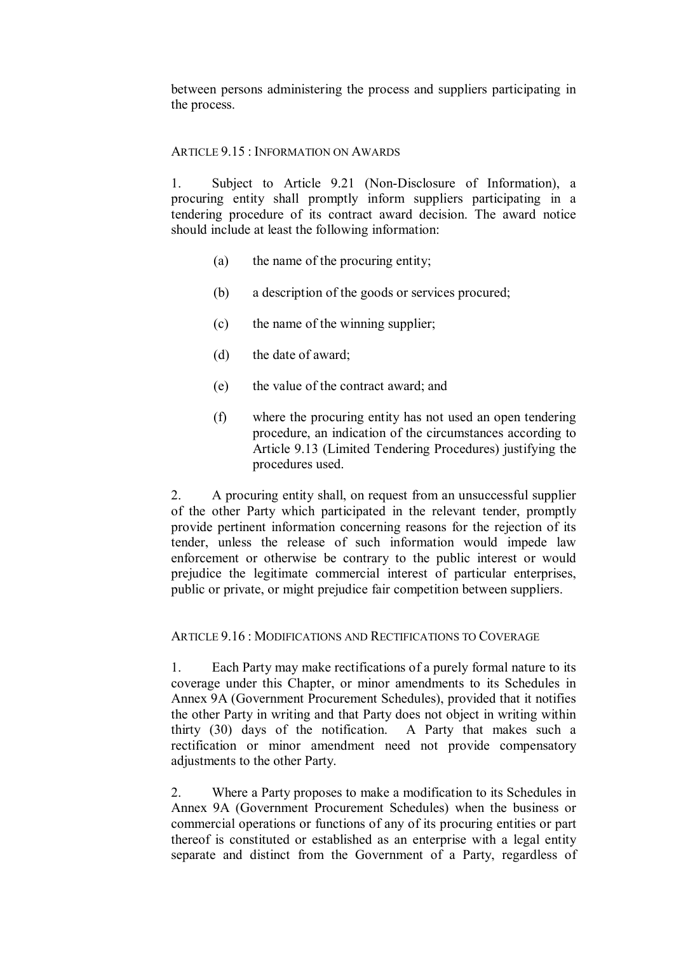between persons administering the process and suppliers participating in the process.

# ARTICLE 9.15 : INFORMATION ON AWARDS

1. Subject to Article 9.21 (Non-Disclosure of Information), a procuring entity shall promptly inform suppliers participating in a tendering procedure of its contract award decision. The award notice should include at least the following information:

- (a) the name of the procuring entity;
- (b) a description of the goods or services procured;
- (c) the name of the winning supplier;
- (d) the date of award;
- (e) the value of the contract award; and
- (f) where the procuring entity has not used an open tendering procedure, an indication of the circumstances according to Article 9.13 (Limited Tendering Procedures) justifying the procedures used.

2. A procuring entity shall, on request from an unsuccessful supplier of the other Party which participated in the relevant tender, promptly provide pertinent information concerning reasons for the rejection of its tender, unless the release of such information would impede law enforcement or otherwise be contrary to the public interest or would prejudice the legitimate commercial interest of particular enterprises, public or private, or might prejudice fair competition between suppliers.

## ARTICLE 9.16 : MODIFICATIONS AND RECTIFICATIONS TO COVERAGE

1. Each Party may make rectifications of a purely formal nature to its coverage under this Chapter, or minor amendments to its Schedules in Annex 9A (Government Procurement Schedules), provided that it notifies the other Party in writing and that Party does not object in writing within thirty (30) days of the notification. A Party that makes such a rectification or minor amendment need not provide compensatory adjustments to the other Party.

2. Where a Party proposes to make a modification to its Schedules in Annex 9A (Government Procurement Schedules) when the business or commercial operations or functions of any of its procuring entities or part thereof is constituted or established as an enterprise with a legal entity separate and distinct from the Government of a Party, regardless of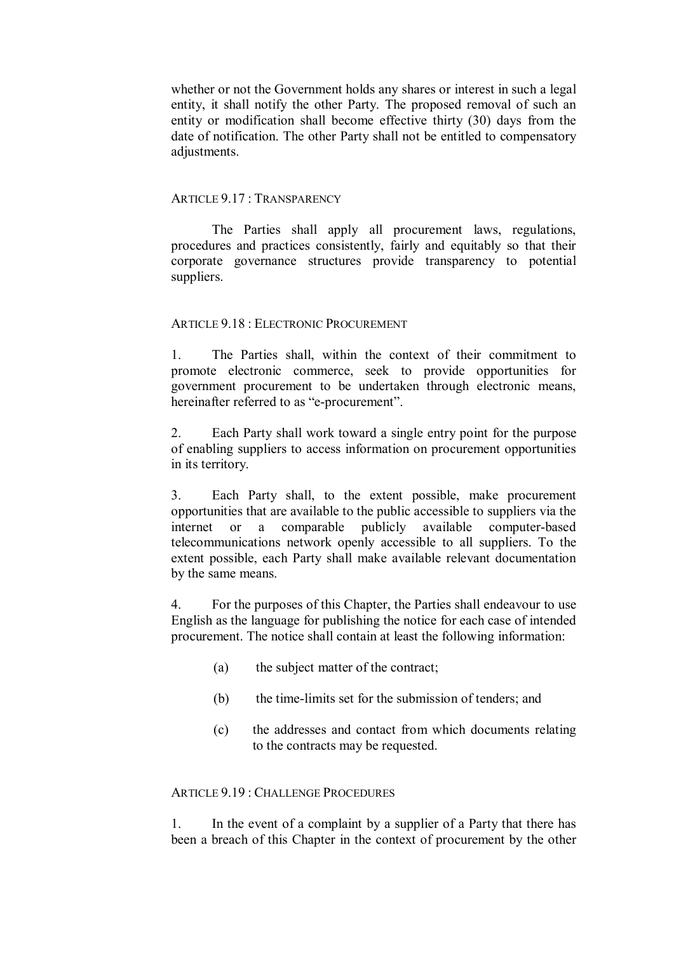whether or not the Government holds any shares or interest in such a legal entity, it shall notify the other Party. The proposed removal of such an entity or modification shall become effective thirty (30) days from the date of notification. The other Party shall not be entitled to compensatory adjustments.

### ARTICLE 9.17 : TRANSPARENCY

The Parties shall apply all procurement laws, regulations, procedures and practices consistently, fairly and equitably so that their corporate governance structures provide transparency to potential suppliers.

## ARTICLE 9.18 : ELECTRONIC PROCUREMENT

1. The Parties shall, within the context of their commitment to promote electronic commerce, seek to provide opportunities for government procurement to be undertaken through electronic means, hereinafter referred to as "e-procurement".

2. Each Party shall work toward a single entry point for the purpose of enabling suppliers to access information on procurement opportunities in its territory.

3. Each Party shall, to the extent possible, make procurement opportunities that are available to the public accessible to suppliers via the internet or a comparable publicly available computer-based internet or a comparable publicly available computer-based telecommunications network openly accessible to all suppliers. To the extent possible, each Party shall make available relevant documentation by the same means.

4. For the purposes of this Chapter, the Parties shall endeavour to use English as the language for publishing the notice for each case of intended procurement. The notice shall contain at least the following information:

- (a) the subject matter of the contract;
- (b) the time-limits set for the submission of tenders; and
- (c) the addresses and contact from which documents relating to the contracts may be requested.

#### ARTICLE 9.19 : CHALLENGE PROCEDURES

1. In the event of a complaint by a supplier of a Party that there has been a breach of this Chapter in the context of procurement by the other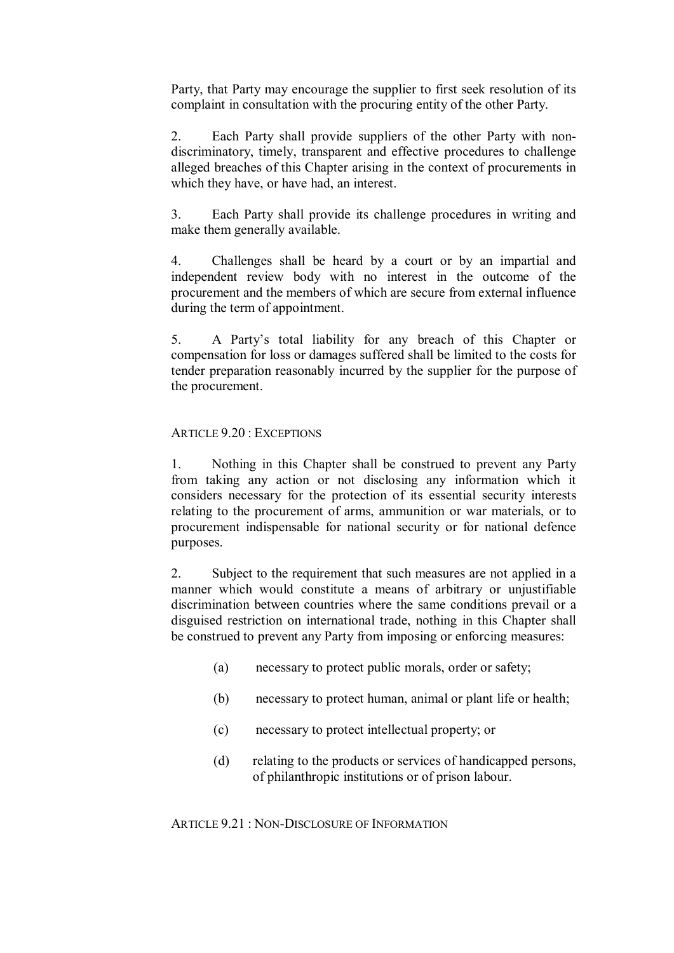Party, that Party may encourage the supplier to first seek resolution of its complaint in consultation with the procuring entity of the other Party.

2. Each Party shall provide suppliers of the other Party with nondiscriminatory, timely, transparent and effective procedures to challenge alleged breaches of this Chapter arising in the context of procurements in which they have, or have had, an interest.

3. Each Party shall provide its challenge procedures in writing and make them generally available.

4. Challenges shall be heard by a court or by an impartial and independent review body with no interest in the outcome of the procurement and the members of which are secure from external influence during the term of appointment.

5. A Party's total liability for any breach of this Chapter or compensation for loss or damages suffered shall be limited to the costs for tender preparation reasonably incurred by the supplier for the purpose of the procurement.

# ARTICLE 9.20 : EXCEPTIONS

1. Nothing in this Chapter shall be construed to prevent any Party from taking any action or not disclosing any information which it considers necessary for the protection of its essential security interests relating to the procurement of arms, ammunition or war materials, or to procurement indispensable for national security or for national defence purposes.

2. Subject to the requirement that such measures are not applied in a manner which would constitute a means of arbitrary or unjustifiable discrimination between countries where the same conditions prevail or a disguised restriction on international trade, nothing in this Chapter shall be construed to prevent any Party from imposing or enforcing measures:

- (a) necessary to protect public morals, order or safety;
- (b) necessary to protect human, animal or plant life or health;
- (c) necessary to protect intellectual property; or
- (d) relating to the products or services of handicapped persons, of philanthropic institutions or of prison labour.

 $ARTICE 9.21 \cdot NON-DISCI OSURE OF INFORMATION$